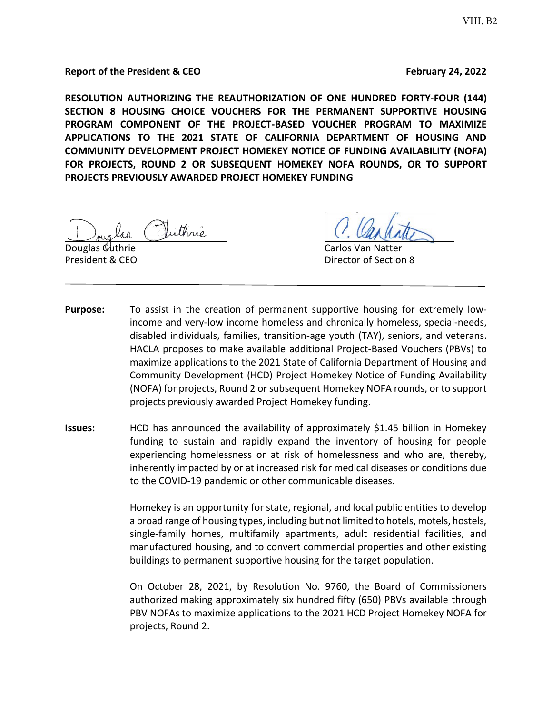**Report of the President & CEO February 24, 2022** 

**RESOLUTION AUTHORIZING THE REAUTHORIZATION OF ONE HUNDRED FORTY-FOUR (144) SECTION 8 HOUSING CHOICE VOUCHERS FOR THE PERMANENT SUPPORTIVE HOUSING PROGRAM COMPONENT OF THE PROJECT-BASED VOUCHER PROGRAM TO MAXIMIZE APPLICATIONS TO THE 2021 STATE OF CALIFORNIA DEPARTMENT OF HOUSING AND COMMUNITY DEVELOPMENT PROJECT HOMEKEY NOTICE OF FUNDING AVAILABILITY (NOFA) FOR PROJECTS, ROUND 2 OR SUBSEQUENT HOMEKEY NOFA ROUNDS, OR TO SUPPORT PROJECTS PREVIOUSLY AWARDED PROJECT HOMEKEY FUNDING** 

uthric

Douglas Guthrie Carlos Van Natter President & CEO **Director of Section 8** 

- **Purpose:** To assist in the creation of permanent supportive housing for extremely lowincome and very-low income homeless and chronically homeless, special-needs, disabled individuals, families, transition-age youth (TAY), seniors, and veterans. HACLA proposes to make available additional Project-Based Vouchers (PBVs) to maximize applications to the 2021 State of California Department of Housing and Community Development (HCD) Project Homekey Notice of Funding Availability (NOFA) for projects, Round 2 or subsequent Homekey NOFA rounds, or to support projects previously awarded Project Homekey funding.
- **Issues:** HCD has announced the availability of approximately \$1.45 billion in Homekey funding to sustain and rapidly expand the inventory of housing for people experiencing homelessness or at risk of homelessness and who are, thereby, inherently impacted by or at increased risk for medical diseases or conditions due to the COVID-19 pandemic or other communicable diseases.

Homekey is an opportunity for state, regional, and local public entities to develop a broad range of housing types, including but not limited to hotels, motels, hostels, single-family homes, multifamily apartments, adult residential facilities, and manufactured housing, and to convert commercial properties and other existing buildings to permanent supportive housing for the target population.

On October 28, 2021, by Resolution No. 9760, the Board of Commissioners authorized making approximately six hundred fifty (650) PBVs available through PBV NOFAs to maximize applications to the 2021 HCD Project Homekey NOFA for projects, Round 2.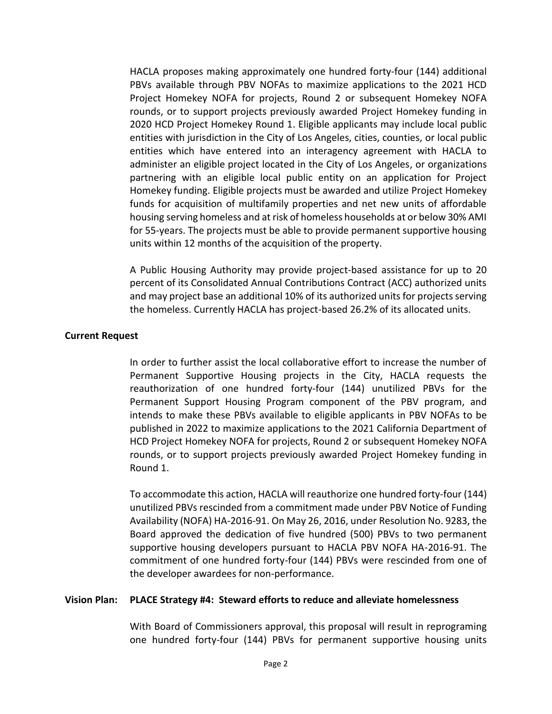HACLA proposes making approximately one hundred forty-four (144) additional PBVs available through PBV NOFAs to maximize applications to the 2021 HCD Project Homekey NOFA for projects, Round 2 or subsequent Homekey NOFA rounds, or to support projects previously awarded Project Homekey funding in 2020 HCD Project Homekey Round 1. Eligible applicants may include local public entities with jurisdiction in the City of Los Angeles, cities, counties, or local public entities which have entered into an interagency agreement with HACLA to administer an eligible project located in the City of Los Angeles, or organizations partnering with an eligible local public entity on an application for Project Homekey funding. Eligible projects must be awarded and utilize Project Homekey funds for acquisition of multifamily properties and net new units of affordable housing serving homeless and at risk of homeless households at or below 30% AMI for 55-years. The projects must be able to provide permanent supportive housing units within 12 months of the acquisition of the property.

A Public Housing Authority may provide project-based assistance for up to 20 percent of its Consolidated Annual Contributions Contract (ACC) authorized units and may project base an additional 10% of its authorized units for projects serving the homeless. Currently HACLA has project-based 26.2% of its allocated units.

#### **Current Request**

In order to further assist the local collaborative effort to increase the number of Permanent Supportive Housing projects in the City, HACLA requests the reauthorization of one hundred forty-four (144) unutilized PBVs for the Permanent Support Housing Program component of the PBV program, and intends to make these PBVs available to eligible applicants in PBV NOFAs to be published in 2022 to maximize applications to the 2021 California Department of HCD Project Homekey NOFA for projects, Round 2 or subsequent Homekey NOFA rounds, or to support projects previously awarded Project Homekey funding in Round 1.

To accommodate this action, HACLA will reauthorize one hundred forty-four (144) unutilized PBVs rescinded from a commitment made under PBV Notice of Funding Availability (NOFA) HA-2016-91. On May 26, 2016, under Resolution No. 9283, the Board approved the dedication of five hundred (500) PBVs to two permanent supportive housing developers pursuant to HACLA PBV NOFA HA-2016-91. The commitment of one hundred forty-four (144) PBVs were rescinded from one of the developer awardees for non-performance.

#### **Vision Plan: PLACE Strategy #4: Steward efforts to reduce and alleviate homelessness**

With Board of Commissioners approval, this proposal will result in reprograming one hundred forty-four (144) PBVs for permanent supportive housing units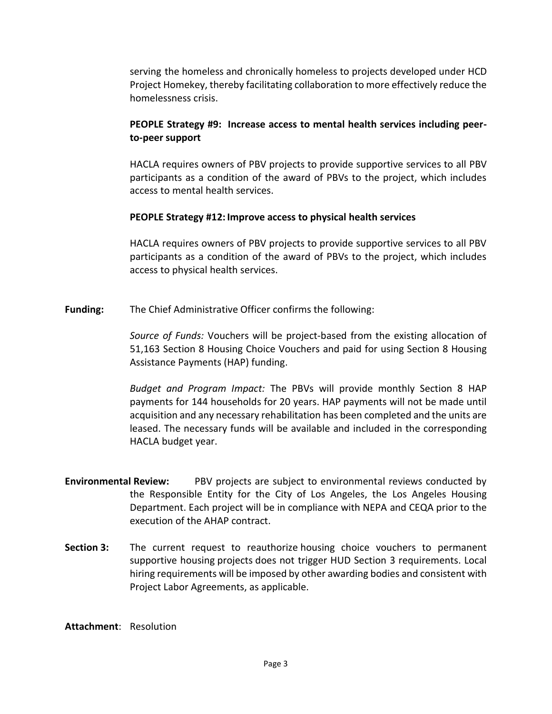serving the homeless and chronically homeless to projects developed under HCD Project Homekey, thereby facilitating collaboration to more effectively reduce the homelessness crisis.

# **PEOPLE Strategy #9: Increase access to mental health services including peerto-peer support**

HACLA requires owners of PBV projects to provide supportive services to all PBV participants as a condition of the award of PBVs to the project, which includes access to mental health services.

### **PEOPLE Strategy #12: Improve access to physical health services**

HACLA requires owners of PBV projects to provide supportive services to all PBV participants as a condition of the award of PBVs to the project, which includes access to physical health services.

**Funding:** The Chief Administrative Officer confirms the following:

*Source of Funds:* Vouchers will be project-based from the existing allocation of 51,163 Section 8 Housing Choice Vouchers and paid for using Section 8 Housing Assistance Payments (HAP) funding.

*Budget and Program Impact:* The PBVs will provide monthly Section 8 HAP payments for 144 households for 20 years. HAP payments will not be made until acquisition and any necessary rehabilitation has been completed and the units are leased. The necessary funds will be available and included in the corresponding HACLA budget year.

- **Environmental Review:** PBV projects are subject to environmental reviews conducted by the Responsible Entity for the City of Los Angeles, the Los Angeles Housing Department. Each project will be in compliance with NEPA and CEQA prior to the execution of the AHAP contract.
- **Section 3:** The current request to reauthorize housing choice vouchers to permanent supportive housing projects does not trigger HUD Section 3 requirements. Local hiring requirements will be imposed by other awarding bodies and consistent with Project Labor Agreements, as applicable.

**Attachment**: Resolution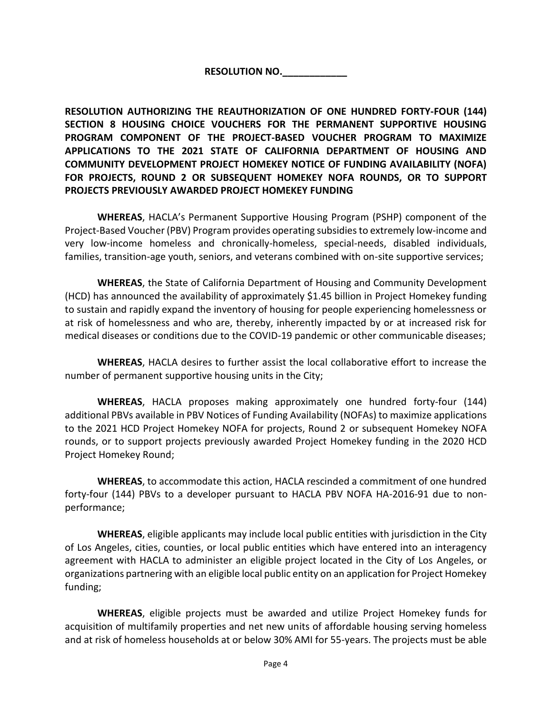# **RESOLUTION NO.\_\_\_\_\_\_\_\_\_\_\_\_**

**RESOLUTION AUTHORIZING THE REAUTHORIZATION OF ONE HUNDRED FORTY-FOUR (144) SECTION 8 HOUSING CHOICE VOUCHERS FOR THE PERMANENT SUPPORTIVE HOUSING PROGRAM COMPONENT OF THE PROJECT-BASED VOUCHER PROGRAM TO MAXIMIZE APPLICATIONS TO THE 2021 STATE OF CALIFORNIA DEPARTMENT OF HOUSING AND COMMUNITY DEVELOPMENT PROJECT HOMEKEY NOTICE OF FUNDING AVAILABILITY (NOFA) FOR PROJECTS, ROUND 2 OR SUBSEQUENT HOMEKEY NOFA ROUNDS, OR TO SUPPORT PROJECTS PREVIOUSLY AWARDED PROJECT HOMEKEY FUNDING**

**WHEREAS**, HACLA's Permanent Supportive Housing Program (PSHP) component of the Project-Based Voucher (PBV) Program provides operating subsidies to extremely low-income and very low-income homeless and chronically-homeless, special-needs, disabled individuals, families, transition-age youth, seniors, and veterans combined with on-site supportive services;

**WHEREAS**, the State of California Department of Housing and Community Development (HCD) has announced the availability of approximately \$1.45 billion in Project Homekey funding to sustain and rapidly expand the inventory of housing for people experiencing homelessness or at risk of homelessness and who are, thereby, inherently impacted by or at increased risk for medical diseases or conditions due to the COVID-19 pandemic or other communicable diseases;

**WHEREAS**, HACLA desires to further assist the local collaborative effort to increase the number of permanent supportive housing units in the City;

**WHEREAS**, HACLA proposes making approximately one hundred forty-four (144) additional PBVs available in PBV Notices of Funding Availability (NOFAs) to maximize applications to the 2021 HCD Project Homekey NOFA for projects, Round 2 or subsequent Homekey NOFA rounds, or to support projects previously awarded Project Homekey funding in the 2020 HCD Project Homekey Round;

**WHEREAS**, to accommodate this action, HACLA rescinded a commitment of one hundred forty-four (144) PBVs to a developer pursuant to HACLA PBV NOFA HA-2016-91 due to nonperformance;

**WHEREAS**, eligible applicants may include local public entities with jurisdiction in the City of Los Angeles, cities, counties, or local public entities which have entered into an interagency agreement with HACLA to administer an eligible project located in the City of Los Angeles, or organizations partnering with an eligible local public entity on an application for Project Homekey funding;

**WHEREAS**, eligible projects must be awarded and utilize Project Homekey funds for acquisition of multifamily properties and net new units of affordable housing serving homeless and at risk of homeless households at or below 30% AMI for 55-years. The projects must be able